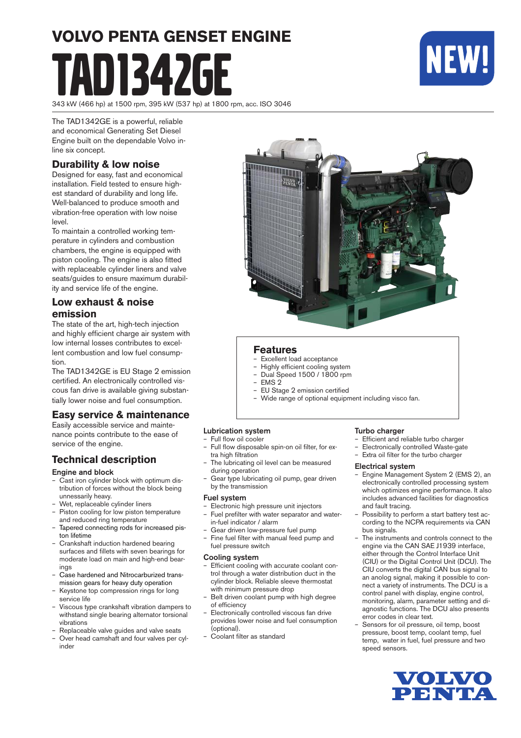# **VOLVO PENTA GENSET ENGINE** 11347GF



343 kW (466 hp) at 1500 rpm, 395 kW (537 hp) at 1800 rpm, acc. ISO 3046

The TAD1342GE is a powerful, reliable and economical Generating Set Diesel Engine built on the dependable Volvo inline six concept.

#### **Durability & low noise**

Designed for easy, fast and economical installation. Field tested to ensure highest standard of durability and long life. Well-balanced to produce smooth and vibration-free operation with low noise level.

To maintain a controlled working temperature in cylinders and combustion cham bers, the engine is equipped with piston cooling. The engine is also fitted with replaceable cylinder liners and valve seats/guides to ensure maximum durability and service life of the engine.

#### **Low exhaust & noise emission**

The state of the art, high-tech injection and highly efficient charge air system with low internal losses contributes to excellent combustion and low fuel consumption.

The TAD1342GE is EU Stage 2 emission certified. An electronically controlled viscous fan drive is available giving substantially lower noise and fuel consumption.

#### **Easy service & maintenance**

Easily accessible service and maintenance points contribute to the ease of service of the engine.

#### **Technical description**

#### Engine and block

- Cast iron cylinder block with optimum distribution of forces without the block being unnessarily heavy.
- Wet, replaceable cylinder liners
- Piston cooling for low piston temperature and reduced ring temperature
- Tapered connecting rods for increased piston lifetime
- Crankshaft induction hardened bearing surfaces and fillets with seven bearings for moderate load on main and high-end bearings
- Case hardened and Nitrocarburized transmis sion gears for heavy duty operation
- Keystone top compression rings for long service life
- Viscous type crankshaft vibration dampers to withstand single bearing alternator torsional vibrations
- Replaceable valve guides and valve seats
- Over head camshaft and four valves per cylin der



#### **Features**

- Excellent load acceptance
- Highly efficient cooling system – Dual Speed 1500 / 1800 rpm
- EMS 2
- EU Stage 2 emission certifi ed
- Wide range of optional equipment including visco fan.

#### Lubrication system

- Full flow oil cooler
- Full flow disposable spin-on oil filter, for extra high filtration
- The lubricating oil level can be measured during operation
- Gear type lubricating oil pump, gear driven by the transmission

#### Fuel system

- Electronic high pressure unit injectors Fuel prefilter with water separator and water-
- in-fuel indicator / alarm
- Gear driven low-pressure fuel pump Fine fuel filter with manual feed pump and fuel pressure switch

#### Cooling system

- Efficient cooling with accurate coolant control through a water distribution duct in the cylinder block. Reliable sleeve thermostat with minimum pressure drop
- Belt driven coolant pump with high degree of efficiency
- Electronically controlled viscous fan drive provides lower noise and fuel consumption (optional).
- Coolant filter as standard

#### Turbo charger

- Efficient and reliable turbo charger
- Electronically controlled Waste-gate<br>– Extra oil filter for the turbo charger
- Extra oil filter for the turbo charger

#### Electrical system

- Engine Management System 2 (EMS 2), an electronically controlled processing system which optimizes engine performance. It also includes advanced facilities for diagnostics and fault tracing.
- Possibility to perform a start battery test according to the NCPA requirements via CAN bus signals.
- The instruments and controls connect to the engine via the CAN SAE J1939 interface, either through the Control Interface Unit (CIU) or the Digital Control Unit (DCU). The CIU converts the digital CAN bus signal to an anolog signal, making it possible to connect a variety of instruments. The DCU is a control panel with display, engine control, monitoring, alarm, parameter setting and diagnostic functions. The DCU also presents error codes in clear text.
- Sensors for oil pressure, oil temp, boost pressure, boost temp, coolant temp, fuel temp, water in fuel, fuel pressure and two speed sensors.